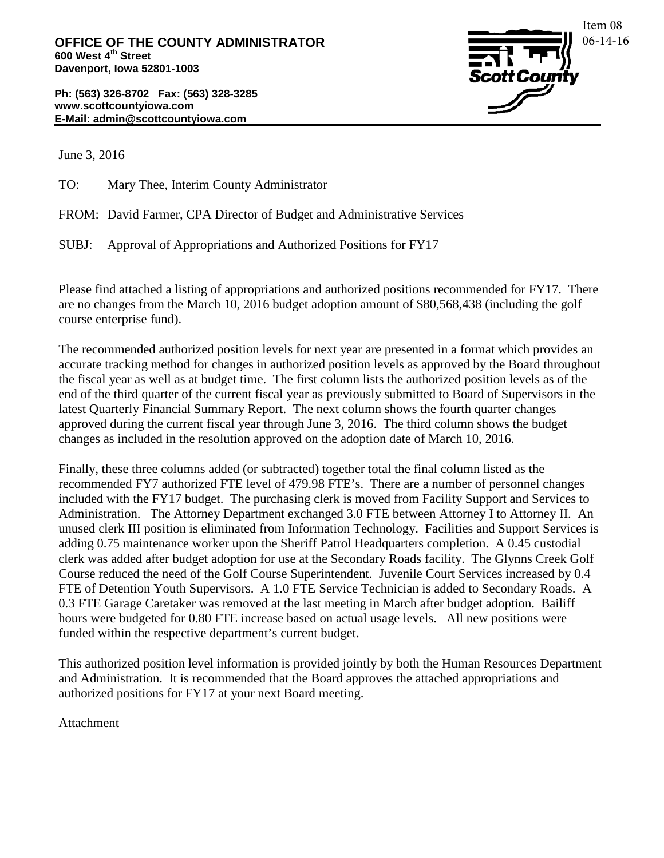**Ph: (563) 326-8702 Fax: (563) 328-3285 www.scottcountyiowa.com E-Mail: admin@scottcountyiowa.com**



June 3, 2016

TO: Mary Thee, Interim County Administrator

FROM: David Farmer, CPA Director of Budget and Administrative Services

SUBJ: Approval of Appropriations and Authorized Positions for FY17

Please find attached a listing of appropriations and authorized positions recommended for FY17. There are no changes from the March 10, 2016 budget adoption amount of \$80,568,438 (including the golf course enterprise fund).

The recommended authorized position levels for next year are presented in a format which provides an accurate tracking method for changes in authorized position levels as approved by the Board throughout the fiscal year as well as at budget time. The first column lists the authorized position levels as of the end of the third quarter of the current fiscal year as previously submitted to Board of Supervisors in the latest Quarterly Financial Summary Report. The next column shows the fourth quarter changes approved during the current fiscal year through June 3, 2016. The third column shows the budget changes as included in the resolution approved on the adoption date of March 10, 2016.

Finally, these three columns added (or subtracted) together total the final column listed as the recommended FY7 authorized FTE level of 479.98 FTE's. There are a number of personnel changes included with the FY17 budget. The purchasing clerk is moved from Facility Support and Services to Administration. The Attorney Department exchanged 3.0 FTE between Attorney I to Attorney II. An unused clerk III position is eliminated from Information Technology. Facilities and Support Services is adding 0.75 maintenance worker upon the Sheriff Patrol Headquarters completion. A 0.45 custodial clerk was added after budget adoption for use at the Secondary Roads facility. The Glynns Creek Golf Course reduced the need of the Golf Course Superintendent. Juvenile Court Services increased by 0.4 FTE of Detention Youth Supervisors. A 1.0 FTE Service Technician is added to Secondary Roads. A 0.3 FTE Garage Caretaker was removed at the last meeting in March after budget adoption. Bailiff hours were budgeted for 0.80 FTE increase based on actual usage levels. All new positions were funded within the respective department's current budget.

This authorized position level information is provided jointly by both the Human Resources Department and Administration. It is recommended that the Board approves the attached appropriations and authorized positions for FY17 at your next Board meeting.

Attachment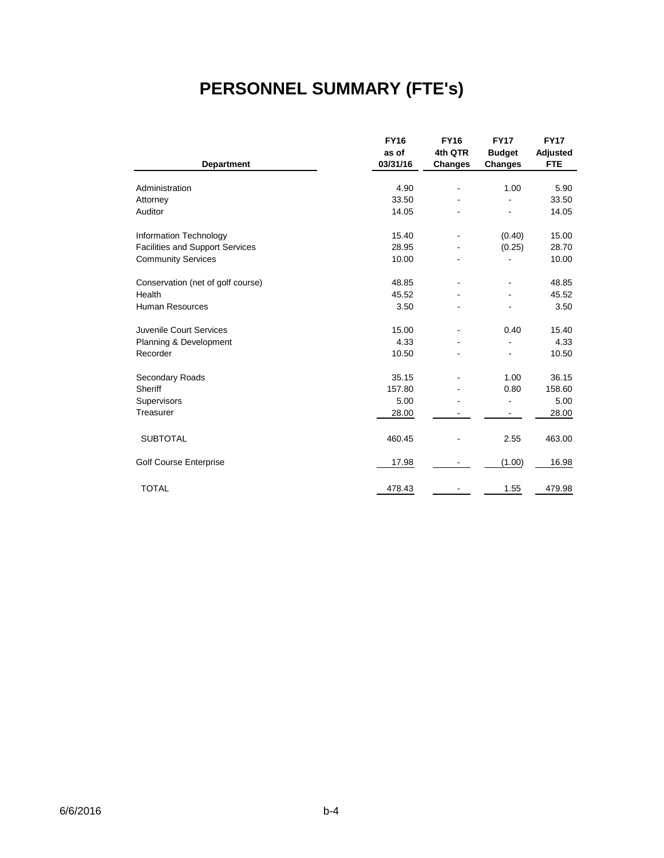# **PERSONNEL SUMMARY (FTE's)**

|                                        | <b>FY16</b> | <b>FY16</b>    | <b>FY17</b>    | <b>FY17</b> |
|----------------------------------------|-------------|----------------|----------------|-------------|
|                                        | as of       | 4th QTR        | <b>Budget</b>  | Adjusted    |
| <b>Department</b>                      | 03/31/16    | <b>Changes</b> | <b>Changes</b> | <b>FTE</b>  |
|                                        |             |                |                |             |
| Administration                         | 4.90        |                | 1.00           | 5.90        |
| Attorney                               | 33.50       |                |                | 33.50       |
| Auditor                                | 14.05       |                |                | 14.05       |
| Information Technology                 | 15.40       |                | (0.40)         | 15.00       |
| <b>Facilities and Support Services</b> | 28.95       |                | (0.25)         | 28.70       |
| <b>Community Services</b>              | 10.00       |                |                | 10.00       |
| Conservation (net of golf course)      | 48.85       |                |                | 48.85       |
| Health                                 | 45.52       |                |                | 45.52       |
| Human Resources                        | 3.50        |                |                | 3.50        |
| Juvenile Court Services                | 15.00       | ۰              | 0.40           | 15.40       |
| Planning & Development                 | 4.33        |                |                | 4.33        |
| Recorder                               | 10.50       |                |                | 10.50       |
| Secondary Roads                        | 35.15       |                | 1.00           | 36.15       |
| Sheriff                                | 157.80      |                | 0.80           | 158.60      |
| Supervisors                            | 5.00        |                | ۰              | 5.00        |
| Treasurer                              | 28.00       |                |                | 28.00       |
| <b>SUBTOTAL</b>                        | 460.45      |                | 2.55           | 463.00      |
| Golf Course Enterprise                 | 17.98       |                | (1.00)         | 16.98       |
| <b>TOTAL</b>                           | 478.43      |                | 1.55           | 479.98      |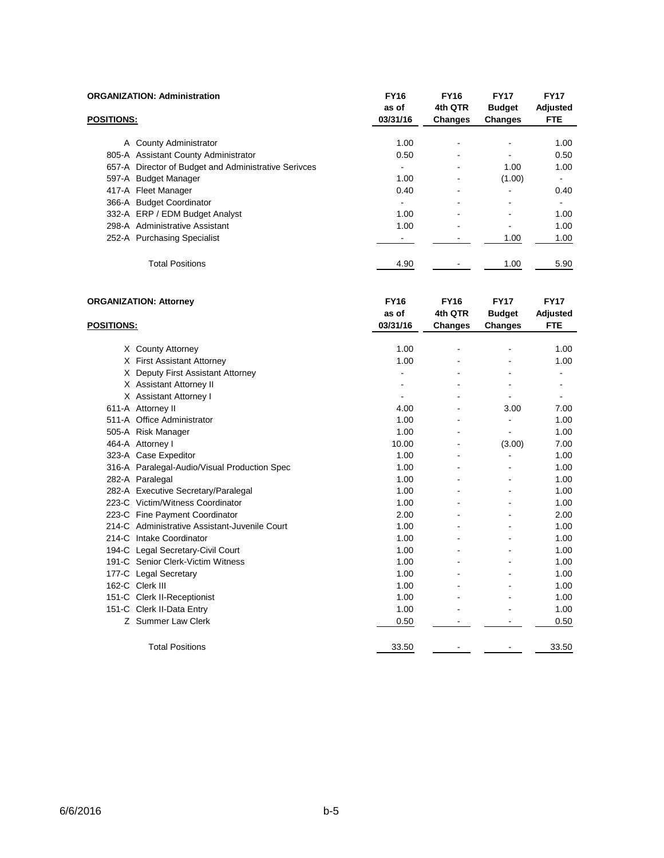| <b>ORGANIZATION: Administration</b>                  | <b>FY16</b><br>as of | <b>FY16</b><br>4th QTR   | <b>FY17</b><br><b>Budget</b> | <b>FY17</b><br>Adjusted |
|------------------------------------------------------|----------------------|--------------------------|------------------------------|-------------------------|
| <b>POSITIONS:</b>                                    | 03/31/16             | Changes                  | <b>Changes</b>               | <b>FTE</b>              |
| A County Administrator                               | 1.00                 | ٠                        |                              | 1.00                    |
| 805-A Assistant County Administrator                 | 0.50                 | $\blacksquare$           |                              | 0.50                    |
| 657-A Director of Budget and Administrative Serivces |                      | $\blacksquare$           | 1.00                         | 1.00                    |
| 597-A Budget Manager                                 | 1.00                 | $\overline{\phantom{a}}$ | (1.00)                       |                         |
| 417-A Fleet Manager                                  | 0.40                 | ٠                        | $\overline{\phantom{0}}$     | 0.40                    |
| 366-A Budget Coordinator                             |                      | $\overline{\phantom{a}}$ |                              |                         |
| 332-A ERP / EDM Budget Analyst                       | 1.00                 | $\blacksquare$           |                              | 1.00                    |
| 298-A Administrative Assistant                       | 1.00                 | ٠                        | $\overline{\phantom{0}}$     | 1.00                    |
| 252-A Purchasing Specialist                          |                      |                          | 1.00                         | 1.00                    |
| <b>Total Positions</b>                               | 4.90                 |                          | 1.00                         | 5.90                    |

| <b>ORGANIZATION: Attorney</b> |                                               | <b>FY16</b> | <b>FY16</b>    | <b>FY17</b>    | <b>FY17</b> |
|-------------------------------|-----------------------------------------------|-------------|----------------|----------------|-------------|
|                               |                                               | as of       | 4th QTR        | <b>Budget</b>  | Adjusted    |
| <b>POSITIONS:</b>             |                                               | 03/31/16    | <b>Changes</b> | Changes        | <b>FTE</b>  |
|                               |                                               |             |                |                |             |
|                               | X County Attorney                             | 1.00        |                |                | 1.00        |
|                               | X First Assistant Attorney                    | 1.00        |                |                | 1.00        |
|                               | X Deputy First Assistant Attorney             |             |                |                |             |
|                               | X Assistant Attorney II                       |             |                |                |             |
|                               | X Assistant Attorney I                        |             |                |                |             |
|                               | 611-A Attorney II                             | 4.00        |                | 3.00           | 7.00        |
|                               | 511-A Office Administrator                    | 1.00        |                | ۰              | 1.00        |
|                               | 505-A Risk Manager                            | 1.00        |                | ÷,             | 1.00        |
|                               | 464-A Attorney I                              | 10.00       |                | (3.00)         | 7.00        |
|                               | 323-A Case Expeditor                          | 1.00        |                | $\overline{a}$ | 1.00        |
|                               | 316-A Paralegal-Audio/Visual Production Spec  | 1.00        |                |                | 1.00        |
|                               | 282-A Paralegal                               | 1.00        | $\blacksquare$ | ٠              | 1.00        |
|                               | 282-A Executive Secretary/Paralegal           | 1.00        |                |                | 1.00        |
|                               | 223-C Victim/Witness Coordinator              | 1.00        |                |                | 1.00        |
|                               | 223-C Fine Payment Coordinator                | 2.00        |                |                | 2.00        |
|                               | 214-C Administrative Assistant-Juvenile Court | 1.00        |                |                | 1.00        |
|                               | 214-C Intake Coordinator                      | 1.00        |                |                | 1.00        |
|                               | 194-C Legal Secretary-Civil Court             | 1.00        |                |                | 1.00        |
|                               | 191-C Senior Clerk-Victim Witness             | 1.00        |                |                | 1.00        |
|                               | 177-C Legal Secretary                         | 1.00        |                |                | 1.00        |
|                               | 162-C Clerk III                               | 1.00        |                |                | 1.00        |
|                               | 151-C Clerk II-Receptionist                   | 1.00        |                |                | 1.00        |
|                               | 151-C Clerk II-Data Entry                     | 1.00        |                |                | 1.00        |
|                               | Z Summer Law Clerk                            | 0.50        |                |                | 0.50        |
|                               | <b>Total Positions</b>                        | 33.50       |                |                | 33.50       |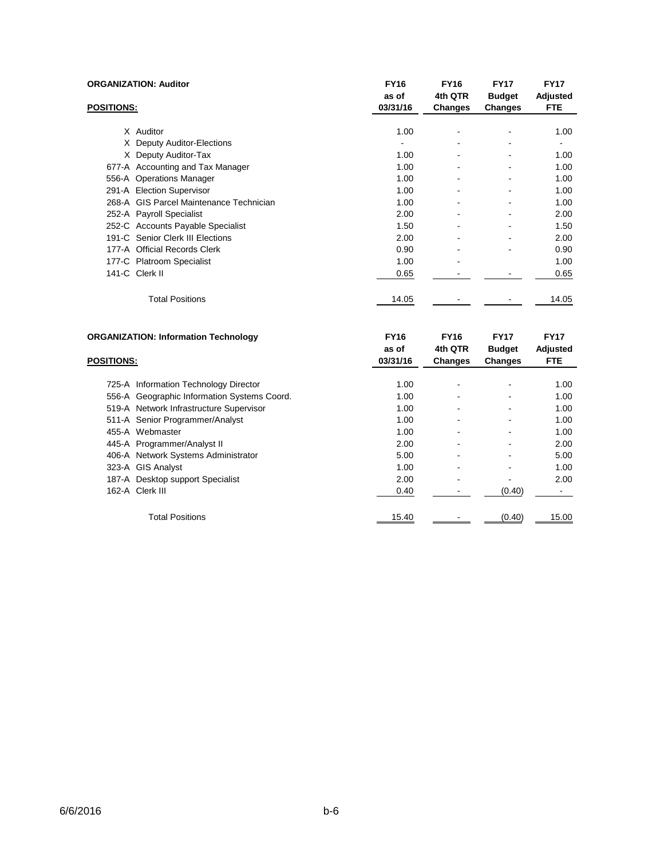|                   | <b>ORGANIZATION: Auditor</b>            | <b>FY16</b><br>as of | <b>FY16</b><br>4th QTR   | <b>FY17</b><br><b>Budget</b> | <b>FY17</b><br>Adjusted |
|-------------------|-----------------------------------------|----------------------|--------------------------|------------------------------|-------------------------|
| <b>POSITIONS:</b> |                                         | 03/31/16             | Changes                  | Changes                      | <b>FTE</b>              |
|                   | X Auditor                               | 1.00                 |                          |                              | 1.00                    |
|                   |                                         |                      |                          |                              |                         |
|                   | X Deputy Auditor-Elections              | ۰                    | $\overline{\phantom{a}}$ | ۰                            | -                       |
|                   | X Deputy Auditor-Tax                    | 1.00                 | $\overline{\phantom{a}}$ | $\qquad \qquad \blacksquare$ | 1.00                    |
|                   | 677-A Accounting and Tax Manager        | 1.00                 | ۰                        | ۰                            | 1.00                    |
|                   | 556-A Operations Manager                | 1.00                 | ۰                        |                              | 1.00                    |
|                   | 291-A Election Supervisor               | 1.00                 | $\overline{\phantom{0}}$ | $\qquad \qquad \blacksquare$ | 1.00                    |
|                   | 268-A GIS Parcel Maintenance Technician | 1.00                 | ۰                        | ۰                            | 1.00                    |
|                   | 252-A Payroll Specialist                | 2.00                 | ۰                        |                              | 2.00                    |
|                   | 252-C Accounts Payable Specialist       | 1.50                 | $\overline{\phantom{a}}$ | ۰                            | 1.50                    |
|                   | 191-C Senior Clerk III Elections        | 2.00                 | ۰                        | $\qquad \qquad \blacksquare$ | 2.00                    |
|                   | 177-A Official Records Clerk            | 0.90                 | ۰                        |                              | 0.90                    |
|                   | 177-C Platroom Specialist               | 1.00                 | ۰                        |                              | 1.00                    |
|                   | 141-C Clerk II                          | 0.65                 |                          |                              | 0.65                    |
|                   | <b>Total Positions</b>                  | 14.05                |                          |                              | 14.05                   |
|                   |                                         |                      |                          |                              |                         |

| <b>ORGANIZATION: Information Technology</b> |                                             | <b>FY16</b> | <b>FY16</b>    | <b>FY17</b>   | <b>FY17</b> |
|---------------------------------------------|---------------------------------------------|-------------|----------------|---------------|-------------|
|                                             |                                             |             | 4th QTR        | <b>Budget</b> | Adjusted    |
| <b>POSITIONS:</b>                           |                                             | 03/31/16    | <b>Changes</b> | Changes       | <b>FTE</b>  |
|                                             |                                             |             |                |               |             |
|                                             | 725-A Information Technology Director       | 1.00        |                |               | 1.00        |
|                                             | 556-A Geographic Information Systems Coord. | 1.00        |                |               | 1.00        |
|                                             | 519-A Network Infrastructure Supervisor     | 1.00        |                |               | 1.00        |
|                                             | 511-A Senior Programmer/Analyst             | 1.00        |                |               | 1.00        |
|                                             | 455-A Webmaster                             | 1.00        |                |               | 1.00        |
|                                             | 445-A Programmer/Analyst II                 | 2.00        |                |               | 2.00        |
|                                             | 406-A Network Systems Administrator         | 5.00        |                |               | 5.00        |
|                                             | 323-A GIS Analyst                           | 1.00        |                |               | 1.00        |
|                                             | 187-A Desktop support Specialist            | 2.00        |                |               | 2.00        |
|                                             | 162-A Clerk III                             | 0.40        |                | (0.40)        |             |
|                                             | <b>Total Positions</b>                      | 15.40       |                | (0.40)        | 15.00       |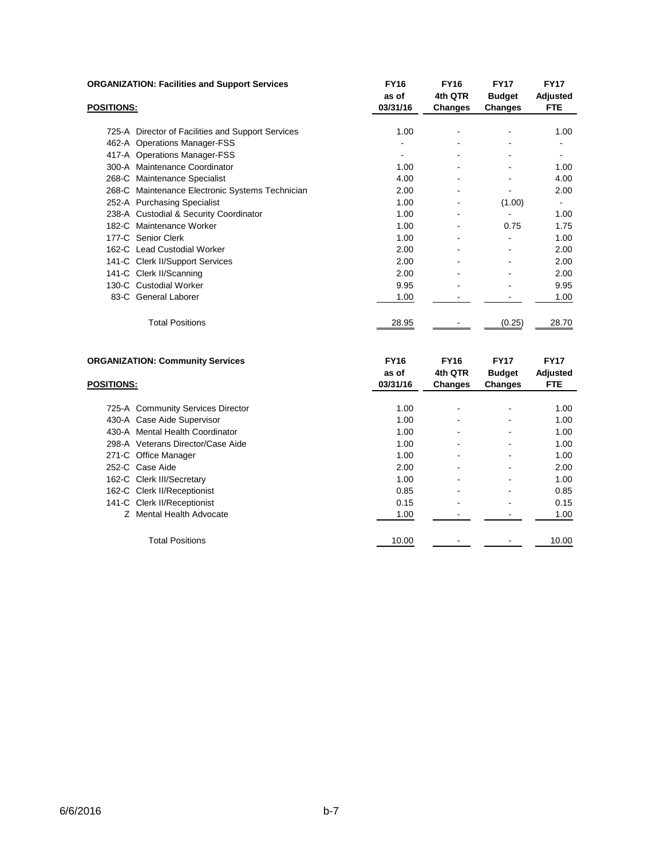| <b>ORGANIZATION: Facilities and Support Services</b> | <b>FY16</b><br>as of | <b>FY16</b><br>4th QTR   | <b>FY17</b><br><b>Budget</b> | <b>FY17</b><br>Adjusted |
|------------------------------------------------------|----------------------|--------------------------|------------------------------|-------------------------|
| <b>POSITIONS:</b>                                    | 03/31/16             | Changes                  | Changes                      | <b>FTE</b>              |
| 725-A Director of Facilities and Support Services    | 1.00                 |                          |                              | 1.00                    |
| 462-A Operations Manager-FSS                         |                      |                          |                              |                         |
| 417-A Operations Manager-FSS                         |                      |                          |                              |                         |
| 300-A Maintenance Coordinator                        | 1.00                 |                          |                              | 1.00                    |
| 268-C Maintenance Specialist                         | 4.00                 |                          |                              | 4.00                    |
| 268-C Maintenance Electronic Systems Technician      | 2.00                 |                          |                              | 2.00                    |
| 252-A Purchasing Specialist                          | 1.00                 | $\overline{\phantom{a}}$ | (1.00)                       | ۰                       |
| 238-A Custodial & Security Coordinator               | 1.00                 | $\overline{\phantom{a}}$ |                              | 1.00                    |
| 182-C Maintenance Worker                             | 1.00                 |                          | 0.75                         | 1.75                    |
| 177-C Senior Clerk                                   | 1.00                 |                          |                              | 1.00                    |
| 162-C Lead Custodial Worker                          | 2.00                 |                          |                              | 2.00                    |
| 141-C Clerk II/Support Services                      | 2.00                 |                          |                              | 2.00                    |
| 141-C Clerk II/Scanning                              | 2.00                 |                          |                              | 2.00                    |
| 130-C Custodial Worker                               | 9.95                 |                          |                              | 9.95                    |
| 83-C General Laborer                                 | 1.00                 |                          |                              | 1.00                    |
| <b>Total Positions</b>                               | 28.95                |                          | (0.25)                       | 28.70                   |
| <b>ORGANIZATION: Community Services</b>              | <b>FY16</b><br>as of | <b>FY16</b><br>4th QTR   | <b>FY17</b><br><b>Budget</b> | <b>FY17</b><br>Adjusted |
| <b>DOCITIONS.</b>                                    | 0212111C             | Chanasca                 | $R$ honano                   | <b>CTC</b>              |

| <b>POSITIONS:</b>                 | 03/31/16 | <b>Changes</b>           | <b>Changes</b> | <b>FTE</b> |
|-----------------------------------|----------|--------------------------|----------------|------------|
|                                   |          |                          |                |            |
| 725-A Community Services Director | 1.00     | ٠                        | -              | 1.00       |
| 430-A Case Aide Supervisor        | 1.00     | ۰                        |                | 1.00       |
| 430-A Mental Health Coordinator   | 1.00     | $\blacksquare$           |                | 1.00       |
| 298-A Veterans Director/Case Aide | 1.00     | $\overline{\phantom{a}}$ | ۰              | 1.00       |
| 271-C Office Manager              | 1.00     | ۰                        |                | 1.00       |
| 252-C Case Aide                   | 2.00     | ٠                        |                | 2.00       |
| 162-C Clerk III/Secretary         | 1.00     | $\overline{\phantom{a}}$ |                | 1.00       |
| 162-C Clerk II/Receptionist       | 0.85     | $\overline{\phantom{a}}$ |                | 0.85       |
| 141-C Clerk II/Receptionist       | 0.15     | $\overline{\phantom{a}}$ | ٠              | 0.15       |
| Z Mental Health Advocate          | 1.00     |                          |                | 1.00       |
| <b>Total Positions</b>            | 10.00    |                          |                | 10.00      |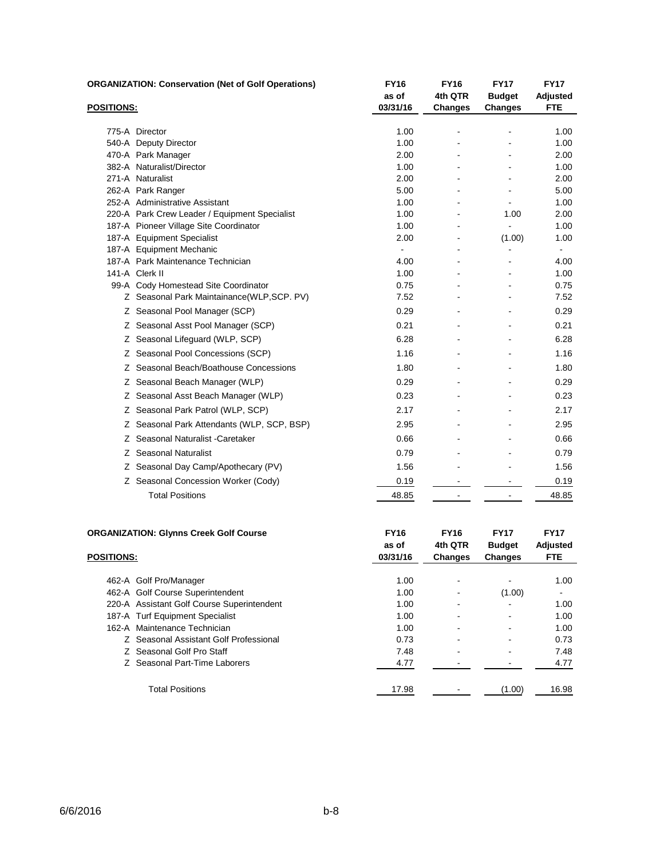|                   | <b>ORGANIZATION: Conservation (Net of Golf Operations)</b> | <b>FY16</b><br>as of | <b>FY16</b><br>4th QTR | <b>FY17</b><br><b>Budget</b> | <b>FY17</b><br><b>Adjusted</b> |
|-------------------|------------------------------------------------------------|----------------------|------------------------|------------------------------|--------------------------------|
| <b>POSITIONS:</b> |                                                            | 03/31/16             | <b>Changes</b>         | <b>Changes</b>               | <b>FTE</b>                     |
|                   | 775-A Director                                             | 1.00                 |                        |                              | 1.00                           |
|                   | 540-A Deputy Director                                      | 1.00                 |                        |                              | 1.00                           |
|                   | 470-A Park Manager                                         | 2.00                 |                        |                              | 2.00                           |
|                   | 382-A Naturalist/Director                                  | 1.00                 |                        |                              | 1.00                           |
|                   | 271-A Naturalist                                           | 2.00                 |                        |                              | 2.00                           |
|                   | 262-A Park Ranger                                          | 5.00                 |                        |                              | 5.00                           |
|                   | 252-A Administrative Assistant                             | 1.00                 |                        |                              | 1.00                           |
|                   | 220-A Park Crew Leader / Equipment Specialist              | 1.00                 |                        | 1.00                         | 2.00                           |
|                   | 187-A Pioneer Village Site Coordinator                     | 1.00                 |                        | $\blacksquare$               | 1.00                           |
|                   | 187-A Equipment Specialist                                 | 2.00                 |                        | (1.00)                       | 1.00                           |
|                   | 187-A Equipment Mechanic                                   |                      |                        |                              |                                |
|                   | 187-A Park Maintenance Technician                          | 4.00                 |                        |                              | 4.00                           |
|                   | 141-A Clerk II                                             | 1.00                 |                        |                              | 1.00                           |
|                   | 99-A Cody Homestead Site Coordinator                       | 0.75                 |                        |                              | 0.75                           |
|                   | Z Seasonal Park Maintainance(WLP, SCP. PV)                 | 7.52                 |                        |                              | 7.52                           |
|                   | Z Seasonal Pool Manager (SCP)                              | 0.29                 |                        |                              | 0.29                           |
|                   | Z Seasonal Asst Pool Manager (SCP)                         | 0.21                 |                        |                              | 0.21                           |
|                   | Z Seasonal Lifequard (WLP, SCP)                            | 6.28                 |                        |                              | 6.28                           |
|                   | Z Seasonal Pool Concessions (SCP)                          | 1.16                 |                        |                              | 1.16                           |
|                   | Z Seasonal Beach/Boathouse Concessions                     | 1.80                 |                        |                              | 1.80                           |
|                   | Z Seasonal Beach Manager (WLP)                             | 0.29                 |                        |                              | 0.29                           |
|                   | Z Seasonal Asst Beach Manager (WLP)                        | 0.23                 |                        |                              | 0.23                           |
|                   | Z Seasonal Park Patrol (WLP, SCP)                          | 2.17                 |                        |                              | 2.17                           |
|                   | Z Seasonal Park Attendants (WLP, SCP, BSP)                 | 2.95                 |                        |                              | 2.95                           |
|                   | Z Seasonal Naturalist - Caretaker                          | 0.66                 |                        |                              | 0.66                           |
|                   | Z Seasonal Naturalist                                      | 0.79                 |                        |                              | 0.79                           |
|                   | Z Seasonal Day Camp/Apothecary (PV)                        | 1.56                 |                        |                              | 1.56                           |
|                   | Z Seasonal Concession Worker (Cody)                        | 0.19                 |                        |                              | 0.19                           |
|                   | <b>Total Positions</b>                                     | 48.85                |                        |                              | 48.85                          |
|                   |                                                            |                      |                        |                              |                                |

| <b>ORGANIZATION: Glynns Creek Golf Course</b> | <b>FY16</b><br>as of | <b>FY16</b><br>4th QTR   | <b>FY17</b><br><b>Budget</b> | <b>FY17</b><br>Adjusted |
|-----------------------------------------------|----------------------|--------------------------|------------------------------|-------------------------|
| <b>POSITIONS:</b>                             | 03/31/16             | <b>Changes</b>           | <b>Changes</b>               | <b>FTE</b>              |
| 462-A Golf Pro/Manager                        | 1.00                 | ۰                        |                              | 1.00                    |
| 462-A Golf Course Superintendent              | 1.00                 | ۰                        | (1.00)                       | ۰                       |
| 220-A Assistant Golf Course Superintendent    | 1.00                 | ٠                        |                              | 1.00                    |
| 187-A Turf Equipment Specialist               | 1.00                 | $\overline{\phantom{a}}$ | -                            | 1.00                    |
| 162-A Maintenance Technician                  | 1.00                 | $\blacksquare$           | $\blacksquare$               | 1.00                    |
| Z Seasonal Assistant Golf Professional        | 0.73                 |                          |                              | 0.73                    |
| Z Seasonal Golf Pro Staff                     | 7.48                 | $\overline{\phantom{a}}$ | ۰                            | 7.48                    |
| Z Seasonal Part-Time Laborers                 | 4.77                 | ۰                        |                              | 4.77                    |
| <b>Total Positions</b>                        | 17.98                |                          | (1.00)                       | 16.98                   |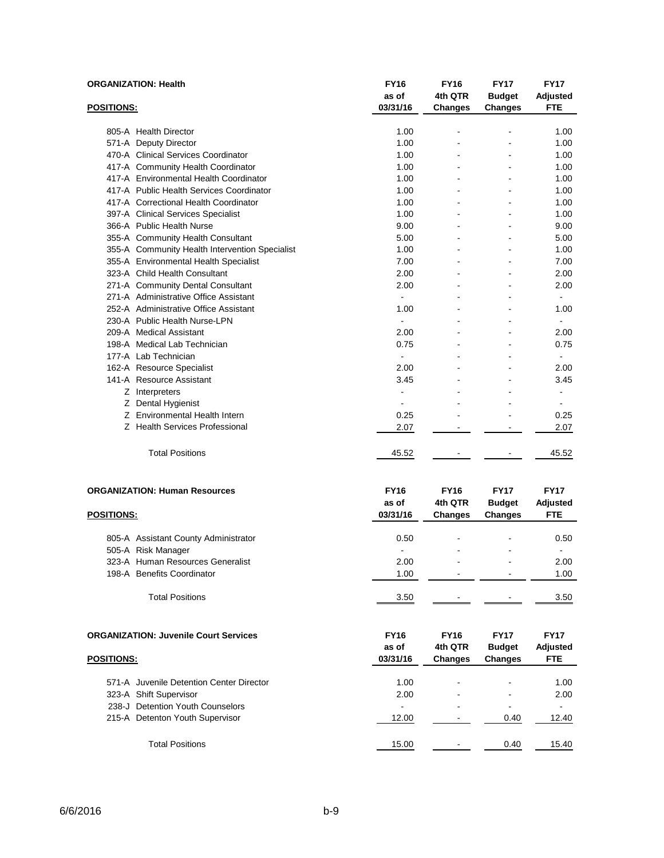|                   | <b>ORGANIZATION: Health</b>                    | <b>FY16</b><br>as of     | <b>FY16</b><br>4th QTR | <b>FY17</b><br><b>Budget</b> | <b>FY17</b><br>Adjusted |
|-------------------|------------------------------------------------|--------------------------|------------------------|------------------------------|-------------------------|
| POSITIONS:        |                                                | 03/31/16                 | <b>Changes</b>         | Changes                      | <b>FTE</b>              |
|                   | 805-A Health Director                          | 1.00                     |                        |                              | 1.00                    |
|                   | 571-A Deputy Director                          | 1.00                     |                        |                              | 1.00                    |
|                   | 470-A Clinical Services Coordinator            | 1.00                     |                        |                              | 1.00                    |
|                   | 417-A Community Health Coordinator             | 1.00                     |                        |                              | 1.00                    |
|                   | 417-A Environmental Health Coordinator         | 1.00                     |                        | ÷.                           | 1.00                    |
|                   | 417-A Public Health Services Coordinator       | 1.00                     |                        |                              | 1.00                    |
|                   | 417-A Correctional Health Coordinator          | 1.00                     |                        |                              | 1.00                    |
|                   | 397-A Clinical Services Specialist             | 1.00                     | ۳                      | L.                           | 1.00                    |
|                   | 366-A Public Health Nurse                      | 9.00                     |                        |                              | 9.00                    |
|                   | 355-A Community Health Consultant              | 5.00                     |                        |                              | 5.00                    |
|                   | 355-A Community Health Intervention Specialist | 1.00                     |                        |                              | 1.00                    |
|                   | 355-A Environmental Health Specialist          | 7.00                     |                        |                              | 7.00                    |
|                   | 323-A Child Health Consultant                  | 2.00                     |                        |                              | 2.00                    |
|                   | 271-A Community Dental Consultant              | 2.00                     |                        |                              | 2.00                    |
|                   | 271-A Administrative Office Assistant          |                          |                        |                              |                         |
|                   | 252-A Administrative Office Assistant          | 1.00                     |                        |                              | 1.00                    |
|                   | 230-A Public Health Nurse-LPN                  | $\overline{a}$           |                        |                              | ÷.                      |
|                   | 209-A Medical Assistant                        | 2.00                     |                        |                              | 2.00                    |
|                   | 198-A Medical Lab Technician                   | 0.75                     |                        |                              | 0.75                    |
|                   | 177-A Lab Technician                           | ÷.                       |                        |                              |                         |
|                   | 162-A Resource Specialist                      | 2.00                     |                        |                              | 2.00                    |
|                   | 141-A Resource Assistant                       | 3.45                     |                        |                              | 3.45                    |
|                   | Z Interpreters                                 | $\overline{a}$           |                        |                              |                         |
|                   | Z Dental Hygienist                             | $\overline{\phantom{a}}$ |                        |                              | $\blacksquare$          |
|                   | Z Environmental Health Intern                  | 0.25                     |                        |                              | 0.25                    |
|                   | Z Health Services Professional                 | 2.07                     |                        |                              | 2.07                    |
|                   | <b>Total Positions</b>                         | 45.52                    | $\blacksquare$         |                              | 45.52                   |
|                   | <b>ORGANIZATION: Human Resources</b>           | <b>FY16</b><br>as of     | <b>FY16</b><br>4th QTR | <b>FY17</b><br><b>Budget</b> | <b>FY17</b><br>Adjusted |
| <b>POSITIONS:</b> |                                                | 03/31/16                 | <b>Changes</b>         | <b>Changes</b>               | <b>FTE</b>              |
|                   | 805-A Assistant County Administrator           | 0.50                     |                        |                              | 0.50                    |
|                   | 505-A Risk Manager                             |                          |                        |                              |                         |
|                   | 323-A Human Resources Generalist               | 2.00                     |                        | $\overline{a}$               | 2.00                    |
|                   | 198-A Benefits Coordinator                     | 1.00                     |                        |                              | 1.00                    |
|                   | <b>Total Positions</b>                         | 3.50                     |                        |                              | 3.50                    |

| <b>ORGANIZATION: Juvenile Court Services</b> | <b>FY16</b><br>as of | <b>FY16</b><br>4th QTR | <b>FY17</b><br><b>Budget</b> | <b>FY17</b><br>Adjusted |
|----------------------------------------------|----------------------|------------------------|------------------------------|-------------------------|
| <b>POSITIONS:</b>                            | 03/31/16             | <b>Changes</b>         | <b>Changes</b>               | <b>FTE</b>              |
| 571-A Juvenile Detention Center Director     | 1.00                 |                        | $\,$                         | 1.00                    |
| 323-A Shift Supervisor                       | 2.00                 | -                      | $\blacksquare$               | 2.00                    |
| 238-J Detention Youth Counselors             | -                    |                        |                              | $\blacksquare$          |
| 215-A Detenton Youth Supervisor              | 12.00                |                        | 0.40                         | 12.40                   |
| <b>Total Positions</b>                       | 15.00                | -                      | 0.40                         | 15.40                   |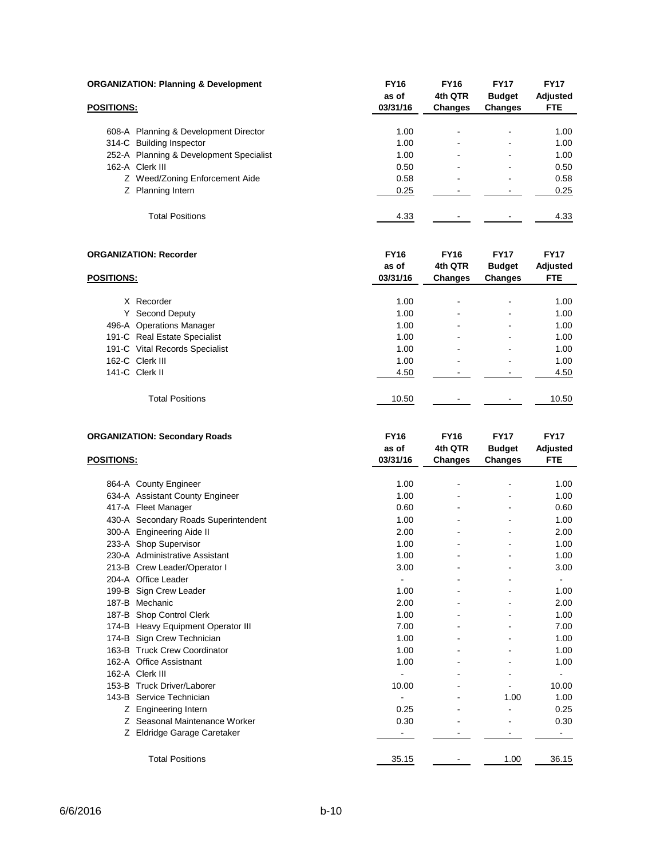| <b>ORGANIZATION: Planning &amp; Development</b> |                                         | <b>FY16</b>       | <b>FY16</b><br>4th QTR | <b>FY17</b>                     | <b>FY17</b>      |
|-------------------------------------------------|-----------------------------------------|-------------------|------------------------|---------------------------------|------------------|
| <b>POSITIONS:</b>                               |                                         | as of<br>03/31/16 | <b>Changes</b>         | <b>Budget</b><br><b>Changes</b> | Adjusted<br>FTE. |
|                                                 | 608-A Planning & Development Director   | 1.00              | ۰                      |                                 | 1.00             |
|                                                 | 314-C Building Inspector                | 1.00              |                        |                                 | 1.00             |
|                                                 | 252-A Planning & Development Specialist | 1.00              | -                      |                                 | 1.00             |
|                                                 | 162-A Clerk III                         | 0.50              | ۰                      | -                               | 0.50             |
|                                                 | Z Weed/Zoning Enforcement Aide          | 0.58              | -                      |                                 | 0.58             |
|                                                 | Z Planning Intern                       | 0.25              |                        |                                 | 0.25             |
|                                                 | <b>Total Positions</b>                  | 4.33              |                        |                                 | 4.33             |

| <b>ORGANIZATION: Recorder</b> |                                | <b>FY16</b><br>as of | <b>FY16</b><br>4th QTR | <b>FY17</b><br><b>Budget</b> | <b>FY17</b><br>Adjusted |  |
|-------------------------------|--------------------------------|----------------------|------------------------|------------------------------|-------------------------|--|
| <b>POSITIONS:</b>             |                                | 03/31/16             | <b>Changes</b>         | Changes                      | <b>FTE</b>              |  |
|                               | X Recorder                     | 1.00                 |                        | ٠                            | 1.00                    |  |
|                               | Y Second Deputy                | 1.00                 |                        | -                            | 1.00                    |  |
|                               | 496-A Operations Manager       | 1.00                 |                        | $\overline{\phantom{a}}$     | 1.00                    |  |
|                               | 191-C Real Estate Specialist   | 1.00                 |                        | -                            | 1.00                    |  |
|                               | 191-C Vital Records Specialist | 1.00                 |                        | ٠                            | 1.00                    |  |
|                               | 162-C Clerk III                | 1.00                 |                        |                              | 1.00                    |  |
|                               | 141-C Clerk II                 | 4.50                 |                        |                              | 4.50                    |  |
|                               | <b>Total Positions</b>         | 10.50                |                        |                              | 10.50                   |  |

| <b>ORGANIZATION: Secondary Roads</b> |                                      | <b>FY16</b> | <b>FY16</b>    | <b>FY17</b>    | <b>FY17</b> |
|--------------------------------------|--------------------------------------|-------------|----------------|----------------|-------------|
|                                      |                                      | as of       | 4th QTR        | <b>Budget</b>  | Adjusted    |
| <b>POSITIONS:</b>                    |                                      | 03/31/16    | <b>Changes</b> | <b>Changes</b> | <b>FTE</b>  |
|                                      |                                      |             |                |                |             |
|                                      | 864-A County Engineer                | 1.00        |                |                | 1.00        |
|                                      | 634-A Assistant County Engineer      | 1.00        |                | $\overline{a}$ | 1.00        |
|                                      | 417-A Fleet Manager                  | 0.60        |                |                | 0.60        |
|                                      | 430-A Secondary Roads Superintendent | 1.00        |                |                | 1.00        |
|                                      | 300-A Engineering Aide II            | 2.00        |                |                | 2.00        |
|                                      | 233-A Shop Supervisor                | 1.00        |                |                | 1.00        |
|                                      | 230-A Administrative Assistant       | 1.00        |                |                | 1.00        |
|                                      | 213-B Crew Leader/Operator I         | 3.00        |                |                | 3.00        |
|                                      | 204-A Office Leader                  |             |                |                |             |
|                                      | 199-B Sign Crew Leader               | 1.00        |                |                | 1.00        |
|                                      | 187-B Mechanic                       | 2.00        |                |                | 2.00        |
|                                      | 187-B Shop Control Clerk             | 1.00        |                |                | 1.00        |
|                                      | 174-B Heavy Equipment Operator III   | 7.00        |                |                | 7.00        |
|                                      | 174-B Sign Crew Technician           | 1.00        |                |                | 1.00        |
|                                      | 163-B Truck Crew Coordinator         | 1.00        |                |                | 1.00        |
|                                      | 162-A Office Assistnant              | 1.00        |                |                | 1.00        |
|                                      | 162-A Clerk III                      |             |                |                | ä,          |
|                                      | 153-B Truck Driver/Laborer           | 10.00       |                |                | 10.00       |
|                                      | 143-B Service Technician             |             |                | 1.00           | 1.00        |
| Ζ                                    | <b>Engineering Intern</b>            | 0.25        |                |                | 0.25        |
|                                      | Z Seasonal Maintenance Worker        | 0.30        |                |                | 0.30        |
| Ζ                                    | Eldridge Garage Caretaker            |             |                |                |             |
|                                      | <b>Total Positions</b>               | 35.15       |                | 1.00           | 36.15       |
|                                      |                                      |             |                |                |             |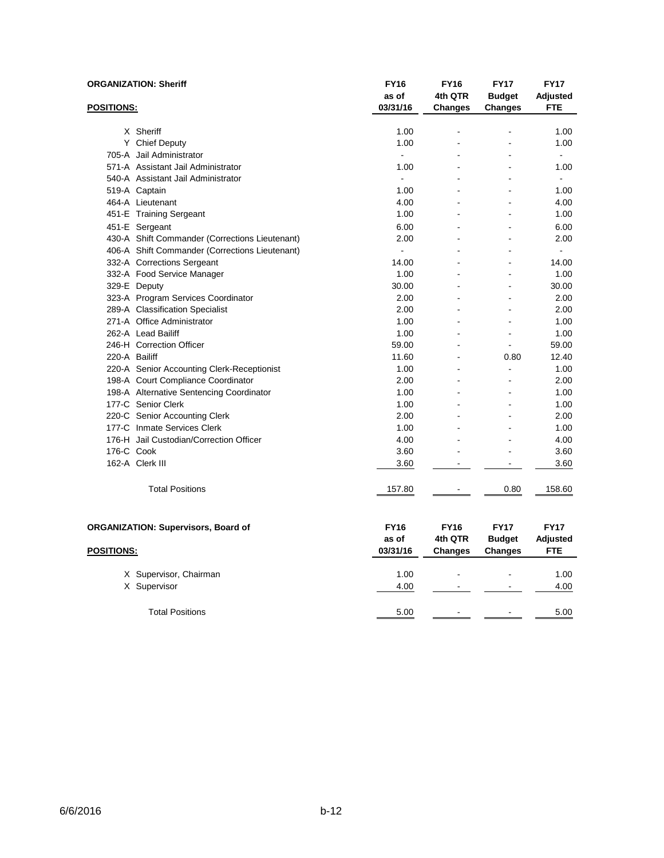| <b>ORGANIZATION: Sheriff</b> |                                                | <b>FY16</b><br>as of | <b>FY16</b><br>4th QTR | <b>FY17</b><br><b>Budget</b> | <b>FY17</b><br>Adjusted        |
|------------------------------|------------------------------------------------|----------------------|------------------------|------------------------------|--------------------------------|
| <u>POSITIONS:</u>            |                                                | 03/31/16             | <b>Changes</b>         | <b>Changes</b>               | <b>FTE</b>                     |
|                              | X Sheriff                                      | 1.00                 |                        |                              | 1.00                           |
|                              | Y Chief Deputy                                 | 1.00                 |                        |                              | 1.00                           |
|                              | 705-A Jail Administrator                       | $\overline{a}$       |                        |                              | $\overline{a}$                 |
|                              | 571-A Assistant Jail Administrator             | 1.00                 |                        |                              | 1.00                           |
|                              | 540-A Assistant Jail Administrator             | $\overline{a}$       |                        |                              | $\sim$                         |
|                              | 519-A Captain                                  | 1.00                 |                        |                              | 1.00                           |
|                              | 464-A Lieutenant                               | 4.00                 |                        |                              | 4.00                           |
|                              | 451-E Training Sergeant                        | 1.00                 |                        |                              | 1.00                           |
|                              | 451-E Sergeant                                 | 6.00                 |                        |                              | 6.00                           |
|                              | 430-A Shift Commander (Corrections Lieutenant) | 2.00                 |                        |                              | 2.00                           |
|                              | 406-A Shift Commander (Corrections Lieutenant) | $\overline{a}$       |                        |                              | $\sim$                         |
|                              | 332-A Corrections Sergeant                     | 14.00                |                        |                              | 14.00                          |
|                              | 332-A Food Service Manager                     | 1.00                 |                        |                              | 1.00                           |
|                              | 329-E Deputy                                   | 30.00                |                        |                              | 30.00                          |
|                              | 323-A Program Services Coordinator             | 2.00                 | ä,                     | ä,                           | 2.00                           |
|                              | 289-A Classification Specialist                | 2.00                 |                        |                              | 2.00                           |
|                              | 271-A Office Administrator                     | 1.00                 |                        |                              | 1.00                           |
|                              | 262-A Lead Bailiff                             | 1.00                 |                        | $\sim$                       | 1.00                           |
|                              | 246-H Correction Officer                       | 59.00                |                        |                              | 59.00                          |
| 220-A Bailiff                |                                                | 11.60                |                        | 0.80                         | 12.40                          |
|                              | 220-A Senior Accounting Clerk-Receptionist     | 1.00                 |                        |                              | 1.00                           |
|                              | 198-A Court Compliance Coordinator             | 2.00                 |                        |                              | 2.00                           |
|                              | 198-A Alternative Sentencing Coordinator       | 1.00                 |                        |                              | 1.00                           |
|                              | 177-C Senior Clerk                             | 1.00                 |                        |                              | 1.00                           |
|                              | 220-C Senior Accounting Clerk                  | 2.00                 |                        |                              | 2.00                           |
|                              | 177-C Inmate Services Clerk                    | 1.00                 |                        | ۳                            | 1.00                           |
|                              | 176-H Jail Custodian/Correction Officer        | 4.00                 |                        |                              | 4.00                           |
| 176-C Cook                   |                                                | 3.60                 |                        |                              | 3.60                           |
|                              | 162-A Clerk III                                | 3.60                 | $\blacksquare$         | $\blacksquare$               | 3.60                           |
|                              | <b>Total Positions</b>                         | 157.80               |                        | 0.80                         | 158.60                         |
|                              | <b>ORGANIZATION: Supervisors, Board of</b>     | <b>FY16</b><br>as of | <b>FY16</b><br>4th QTR | <b>FY17</b><br><b>Budget</b> | <b>FY17</b><br><b>Adjusted</b> |
| <u>POSITIONS:</u>            |                                                | 03/31/16             | <b>Changes</b>         | <b>Changes</b>               | <b>FTE</b>                     |
|                              | X Supervisor, Chairman                         | 1.00                 |                        |                              | 1.00                           |
|                              | X Supervisor                                   | 4.00                 | $\blacksquare$         | $\blacksquare$               | 4.00                           |
|                              | <b>Total Positions</b>                         | 5.00                 | $\overline{a}$         | $\overline{\phantom{a}}$     | 5.00                           |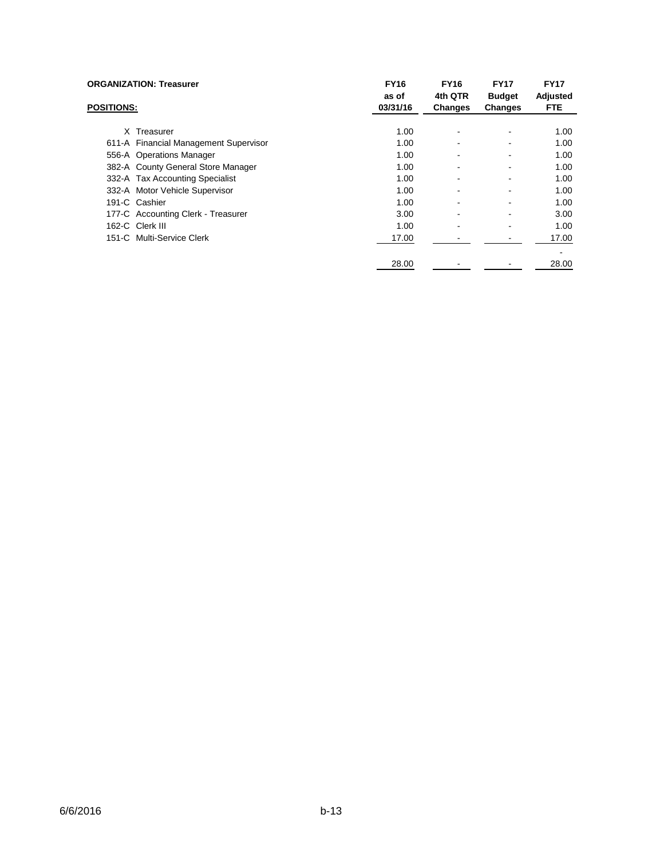|                   | <b>ORGANIZATION: Treasurer</b>        | <b>FY16</b><br>as of | <b>FY16</b><br>4th QTR | <b>FY17</b><br><b>Budget</b> | <b>FY17</b><br>Adjusted |
|-------------------|---------------------------------------|----------------------|------------------------|------------------------------|-------------------------|
| <b>POSITIONS:</b> |                                       | 03/31/16             | <b>Changes</b>         | Changes                      | <b>FTE</b>              |
|                   | X Treasurer                           | 1.00                 |                        |                              | 1.00                    |
|                   | 611-A Financial Management Supervisor | 1.00                 |                        |                              | 1.00                    |
|                   | 556-A Operations Manager              | 1.00                 |                        |                              | 1.00                    |
|                   | 382-A County General Store Manager    | 1.00                 |                        |                              | 1.00                    |
|                   | 332-A Tax Accounting Specialist       | 1.00                 |                        |                              | 1.00                    |
|                   | 332-A Motor Vehicle Supervisor        | 1.00                 |                        |                              | 1.00                    |
|                   | 191-C Cashier                         | 1.00                 |                        |                              | 1.00                    |
|                   | 177-C Accounting Clerk - Treasurer    | 3.00                 |                        |                              | 3.00                    |
|                   | 162-C Clerk III                       | 1.00                 |                        |                              | 1.00                    |
|                   | 151-C Multi-Service Clerk             | 17.00                |                        |                              | 17.00                   |
|                   |                                       | 28.00                |                        |                              | 28.00                   |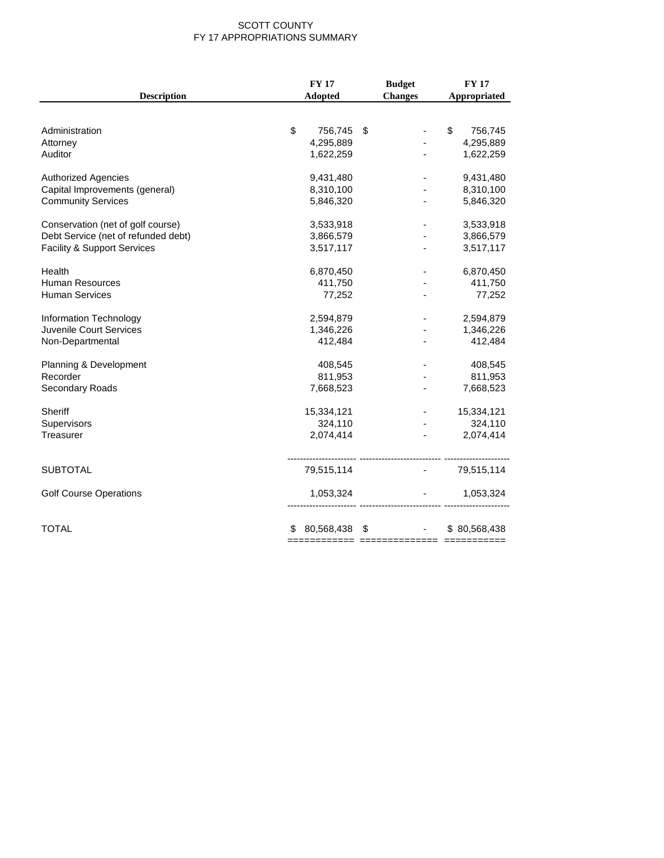#### SCOTT COUNTY FY 17 APPROPRIATIONS SUMMARY

|                                        | <b>FY17</b>        | <b>Budget</b>                                          | <b>FY 17</b>  |
|----------------------------------------|--------------------|--------------------------------------------------------|---------------|
| <b>Description</b>                     | <b>Adopted</b>     | <b>Changes</b>                                         | Appropriated  |
|                                        |                    |                                                        |               |
| Administration                         | \$<br>756,745      | \$                                                     | \$<br>756,745 |
| Attorney                               | 4,295,889          |                                                        | 4,295,889     |
| Auditor                                | 1,622,259          |                                                        | 1,622,259     |
| <b>Authorized Agencies</b>             | 9,431,480          |                                                        | 9,431,480     |
| Capital Improvements (general)         | 8,310,100          |                                                        | 8,310,100     |
| <b>Community Services</b>              | 5,846,320          | $\overline{\phantom{a}}$                               | 5,846,320     |
| Conservation (net of golf course)      | 3,533,918          |                                                        | 3,533,918     |
| Debt Service (net of refunded debt)    | 3,866,579          |                                                        | 3,866,579     |
| <b>Facility &amp; Support Services</b> | 3,517,117          |                                                        | 3,517,117     |
| Health                                 | 6,870,450          |                                                        | 6,870,450     |
| <b>Human Resources</b>                 | 411,750            |                                                        | 411,750       |
| <b>Human Services</b>                  | 77,252             |                                                        | 77,252        |
| Information Technology                 | 2,594,879          |                                                        | 2,594,879     |
| <b>Juvenile Court Services</b>         | 1,346,226          |                                                        | 1,346,226     |
| Non-Departmental                       | 412,484            |                                                        | 412,484       |
| Planning & Development                 | 408,545            |                                                        | 408,545       |
| Recorder                               | 811,953            |                                                        | 811,953       |
| Secondary Roads                        | 7,668,523          |                                                        | 7,668,523     |
| Sheriff                                | 15,334,121         |                                                        | 15,334,121    |
| Supervisors                            | 324,110            |                                                        | 324,110       |
| Treasurer                              | 2,074,414          | $\blacksquare$                                         | 2,074,414     |
| <b>SUBTOTAL</b>                        | 79,515,114         | <b>All Contracts</b>                                   | 79,515,114    |
| <b>Golf Course Operations</b>          | 1,053,324          | <b>Service State</b><br>------------------------ ----- | 1,053,324     |
| <b>TOTAL</b>                           | 80,568,438 \$<br>S | $\mathbf{m} = 0.01$                                    | \$80,568,438  |
|                                        |                    |                                                        |               |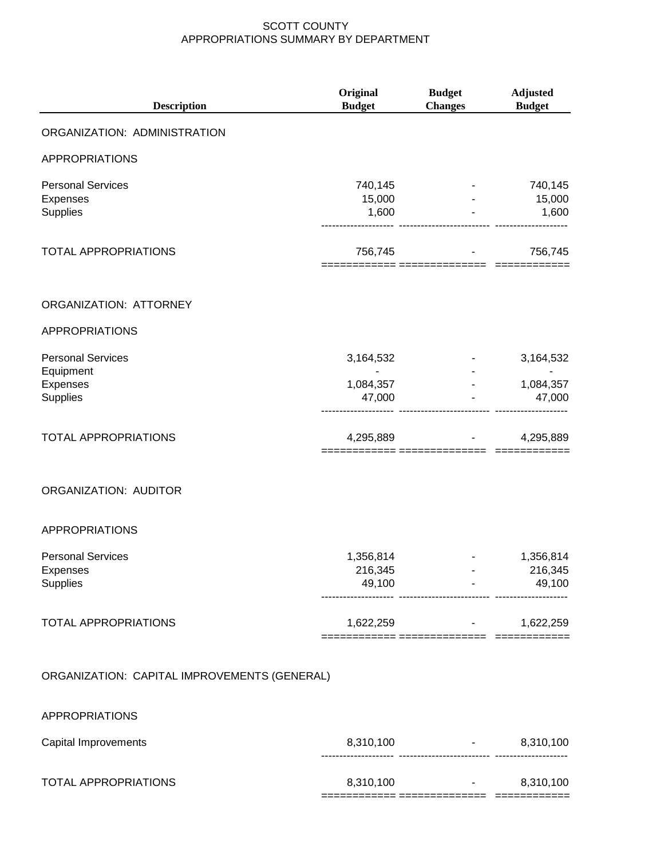| <b>Description</b>                                      | Original<br><b>Budget</b>      | <b>Budget</b><br><b>Changes</b>       | <b>Adjusted</b><br><b>Budget</b> |
|---------------------------------------------------------|--------------------------------|---------------------------------------|----------------------------------|
| ORGANIZATION: ADMINISTRATION                            |                                |                                       |                                  |
| <b>APPROPRIATIONS</b>                                   |                                |                                       |                                  |
| <b>Personal Services</b><br>Expenses<br>Supplies        | 740,145<br>15,000<br>1,600     |                                       | 740,145<br>15,000<br>1,600       |
| <b>TOTAL APPROPRIATIONS</b>                             | 756,745                        | ====== ============                   | 756,745                          |
| ORGANIZATION: ATTORNEY                                  |                                |                                       |                                  |
| <b>APPROPRIATIONS</b>                                   |                                |                                       |                                  |
| <b>Personal Services</b><br>Equipment                   | 3,164,532                      |                                       | 3,164,532                        |
| Expenses<br>Supplies                                    | 1,084,357<br>47,000            |                                       | 1,084,357<br>47,000              |
| <b>TOTAL APPROPRIATIONS</b>                             | 4,295,889                      | <u> ---------- ---------------</u>    | 4,295,889                        |
| ORGANIZATION: AUDITOR                                   |                                |                                       |                                  |
| <b>APPROPRIATIONS</b>                                   |                                |                                       |                                  |
| <b>Personal Services</b><br>Expenses<br><b>Supplies</b> | 1,356,814<br>216,345<br>49,100 |                                       | 1,356,814<br>216,345<br>49,100   |
| <b>TOTAL APPROPRIATIONS</b>                             | 1,622,259                      | and the control of the control of     | 1,622,259                        |
| ORGANIZATION: CAPITAL IMPROVEMENTS (GENERAL)            |                                |                                       |                                  |
| APPROPRIATIONS                                          |                                |                                       |                                  |
| Capital Improvements                                    | 8,310,100                      | and the state of the state of the<br> | 8,310,100                        |
|                                                         |                                |                                       |                                  |

TOTAL APPROPRIATIONS

| 8,310,100 | - | 8,310,100 |
|-----------|---|-----------|
|           |   |           |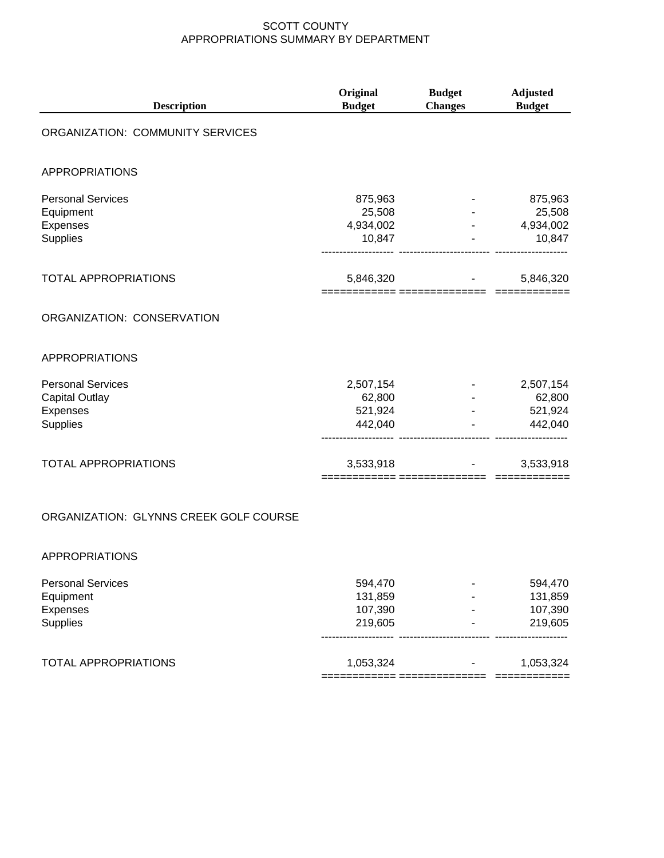| <b>Description</b>                     | Original<br><b>Budget</b> | <b>Budget</b><br><b>Changes</b> | <b>Adjusted</b><br><b>Budget</b> |  |
|----------------------------------------|---------------------------|---------------------------------|----------------------------------|--|
| ORGANIZATION: COMMUNITY SERVICES       |                           |                                 |                                  |  |
| <b>APPROPRIATIONS</b>                  |                           |                                 |                                  |  |
| <b>Personal Services</b>               | 875,963                   |                                 | 875,963                          |  |
| Equipment                              | 25,508                    |                                 | 25,508                           |  |
| Expenses                               | 4,934,002                 |                                 | 4,934,002                        |  |
| Supplies                               | 10,847                    |                                 | 10,847                           |  |
| <b>TOTAL APPROPRIATIONS</b>            | 5,846,320                 |                                 | 5,846,320                        |  |
| ORGANIZATION: CONSERVATION             |                           |                                 |                                  |  |
| <b>APPROPRIATIONS</b>                  |                           |                                 |                                  |  |
| <b>Personal Services</b>               | 2,507,154                 |                                 | 2,507,154                        |  |
| <b>Capital Outlay</b>                  | 62,800                    |                                 | 62,800                           |  |
| Expenses                               | 521,924                   |                                 | 521,924                          |  |
| Supplies                               | 442,040                   |                                 | 442,040                          |  |
| <b>TOTAL APPROPRIATIONS</b>            | 3,533,918                 |                                 | 3,533,918                        |  |
| ORGANIZATION: GLYNNS CREEK GOLF COURSE |                           |                                 |                                  |  |

#### APPROPRIATIONS

| <b>Personal Services</b>    | 594.470   | 594.470   |
|-----------------------------|-----------|-----------|
| Equipment                   | 131,859   | 131,859   |
| Expenses                    | 107,390   | 107,390   |
| Supplies                    | 219,605   | 219,605   |
| <b>TOTAL APPROPRIATIONS</b> | 1,053,324 | 1,053,324 |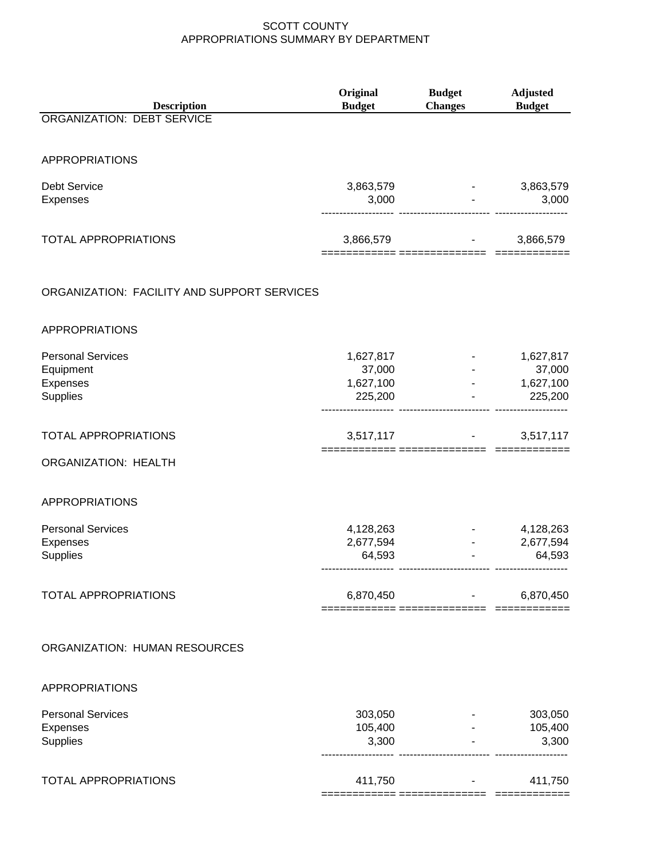| <b>Description</b><br><b>ORGANIZATION: DEBT SERVICE</b>                     | Original<br><b>Budget</b>                   | <b>Budget</b><br><b>Changes</b>             | <b>Adjusted</b><br><b>Budget</b>            |
|-----------------------------------------------------------------------------|---------------------------------------------|---------------------------------------------|---------------------------------------------|
| <b>APPROPRIATIONS</b>                                                       |                                             |                                             |                                             |
| Debt Service<br>Expenses                                                    | 3,863,579<br>3,000                          |                                             | 3,863,579<br>3,000                          |
| <b>TOTAL APPROPRIATIONS</b>                                                 |                                             | $3,866,579$ -                               | 3,866,579                                   |
| ORGANIZATION: FACILITY AND SUPPORT SERVICES                                 |                                             |                                             |                                             |
| <b>APPROPRIATIONS</b>                                                       |                                             |                                             |                                             |
| <b>Personal Services</b><br>Equipment<br><b>Expenses</b><br><b>Supplies</b> | 1,627,817<br>37,000<br>1,627,100<br>225,200 | $\omega_{\rm{max}}$ and $\omega_{\rm{max}}$ | 1,627,817<br>37,000<br>1,627,100<br>225,200 |
| <b>TOTAL APPROPRIATIONS</b>                                                 |                                             | $3,517,117$ -                               | 3,517,117                                   |
| <b>ORGANIZATION: HEALTH</b>                                                 |                                             |                                             |                                             |
| <b>APPROPRIATIONS</b>                                                       |                                             |                                             |                                             |
| <b>Personal Services</b><br>Expenses<br>Supplies                            | 4,128,263<br>2,677,594<br>64,593            |                                             | 4,128,263<br>2,677,594<br>64,593            |
| <b>TOTAL APPROPRIATIONS</b>                                                 | 6,870,450                                   | ========= ===============                   | 6,870,450                                   |
| ORGANIZATION: HUMAN RESOURCES                                               |                                             |                                             |                                             |
| <b>APPROPRIATIONS</b>                                                       |                                             |                                             |                                             |
| <b>Personal Services</b><br>Expenses<br>Supplies                            | 303,050<br>105,400<br>3,300                 | $\sim$ 100 $\pm$ 100 $\pm$                  | 303,050<br>105,400<br>3,300                 |
| <b>TOTAL APPROPRIATIONS</b>                                                 | 411,750                                     |                                             | 411,750                                     |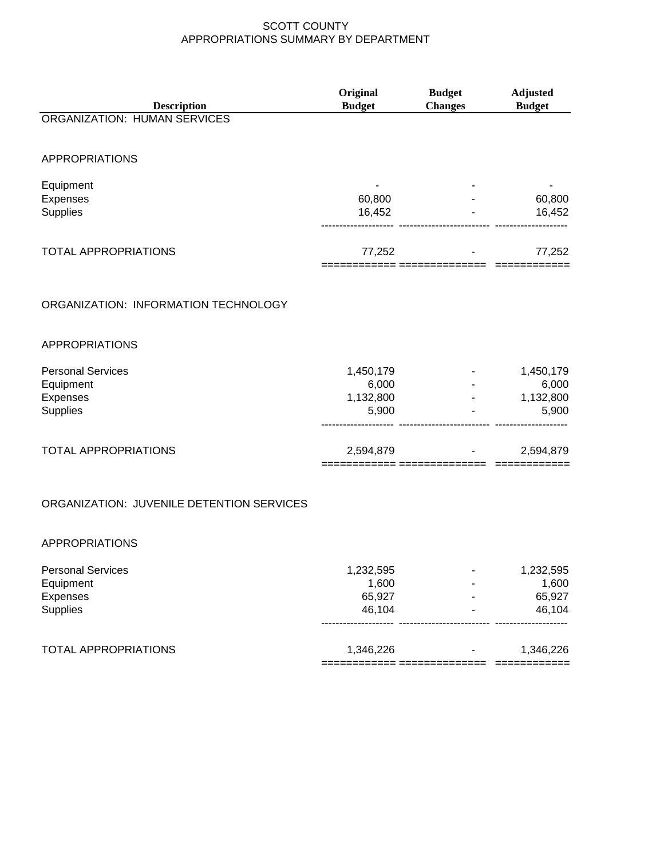| <b>Description</b>                        | Original<br><b>Budget</b> | <b>Budget</b><br><b>Changes</b> | <b>Adjusted</b><br><b>Budget</b> |
|-------------------------------------------|---------------------------|---------------------------------|----------------------------------|
| <b>ORGANIZATION: HUMAN SERVICES</b>       |                           |                                 |                                  |
|                                           |                           |                                 |                                  |
| <b>APPROPRIATIONS</b>                     |                           |                                 |                                  |
| Equipment                                 |                           |                                 |                                  |
| Expenses                                  | 60,800                    |                                 | 60,800                           |
| Supplies                                  | 16,452                    |                                 | 16,452                           |
|                                           |                           |                                 |                                  |
| <b>TOTAL APPROPRIATIONS</b>               | 77,252                    |                                 | 77,252                           |
|                                           |                           |                                 |                                  |
|                                           |                           |                                 |                                  |
| ORGANIZATION: INFORMATION TECHNOLOGY      |                           |                                 |                                  |
|                                           |                           |                                 |                                  |
| <b>APPROPRIATIONS</b>                     |                           |                                 |                                  |
| <b>Personal Services</b>                  | 1,450,179                 |                                 | 1,450,179                        |
| Equipment                                 | 6,000                     |                                 | 6,000                            |
| Expenses                                  | 1,132,800                 |                                 | 1,132,800                        |
| Supplies                                  | 5,900                     |                                 | 5,900                            |
|                                           |                           |                                 |                                  |
| <b>TOTAL APPROPRIATIONS</b>               | 2,594,879                 |                                 | 2,594,879                        |
|                                           |                           |                                 |                                  |
|                                           |                           |                                 |                                  |
| ORGANIZATION: JUVENILE DETENTION SERVICES |                           |                                 |                                  |
|                                           |                           |                                 |                                  |
| <b>APPROPRIATIONS</b>                     |                           |                                 |                                  |
| <b>Personal Services</b>                  | 1,232,595                 |                                 | 1,232,595                        |
| Equipment                                 | 1,600                     |                                 | 1,600                            |
| Expenses                                  | 65,927                    |                                 | 65,927                           |
| Supplies                                  | 46,104                    |                                 | 46,104                           |
|                                           |                           |                                 |                                  |
| <b>TOTAL APPROPRIATIONS</b>               | 1,346,226                 |                                 | 1,346,226                        |
|                                           |                           |                                 |                                  |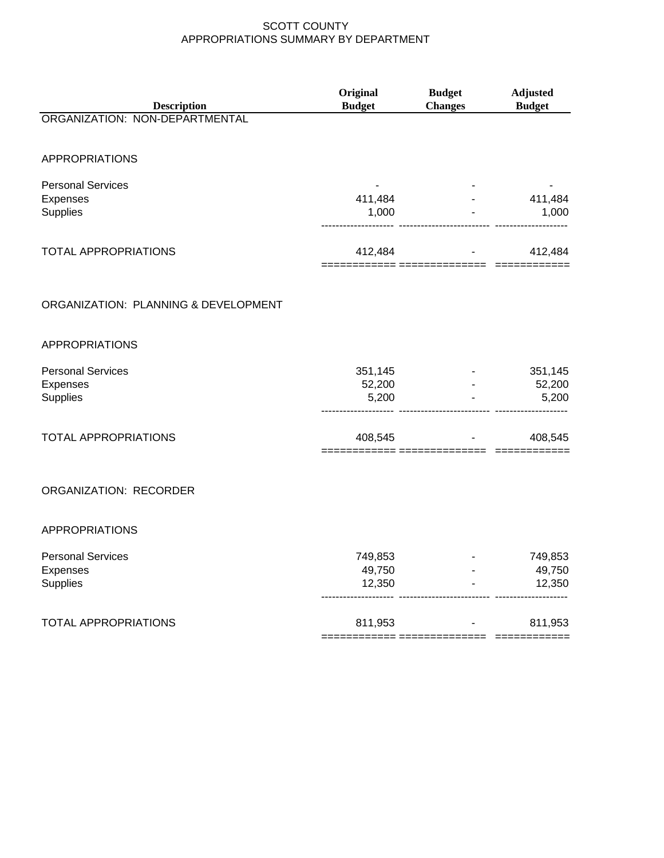| <b>Description</b>                               | Original<br><b>Budget</b>   | <b>Budget</b><br><b>Changes</b>             | <b>Adjusted</b><br><b>Budget</b>        |
|--------------------------------------------------|-----------------------------|---------------------------------------------|-----------------------------------------|
| ORGANIZATION: NON-DEPARTMENTAL                   |                             |                                             |                                         |
| <b>APPROPRIATIONS</b>                            |                             |                                             |                                         |
| <b>Personal Services</b><br>Expenses<br>Supplies | 411,484<br>1,000            | ------------- ------------------------      | 411,484<br>1,000                        |
| <b>TOTAL APPROPRIATIONS</b>                      | 412,484                     |                                             | 412,484<br><b>All Contract Contract</b> |
| ORGANIZATION: PLANNING & DEVELOPMENT             |                             |                                             |                                         |
| <b>APPROPRIATIONS</b>                            |                             |                                             |                                         |
| <b>Personal Services</b><br>Expenses<br>Supplies | 351,145<br>52,200<br>5,200  |                                             | 351,145<br>52,200<br>5,200              |
| <b>TOTAL APPROPRIATIONS</b>                      | 408,545                     | $\sim 100$<br>======= =============== ===== | 408,545                                 |
| ORGANIZATION: RECORDER                           |                             |                                             |                                         |
| <b>APPROPRIATIONS</b>                            |                             |                                             |                                         |
| <b>Personal Services</b><br>Expenses<br>Supplies | 749,853<br>49,750<br>12,350 |                                             | 749,853<br>49,750<br>12,350             |
| <b>TOTAL APPROPRIATIONS</b>                      | 811,953                     |                                             | 811,953                                 |

============ ============== ============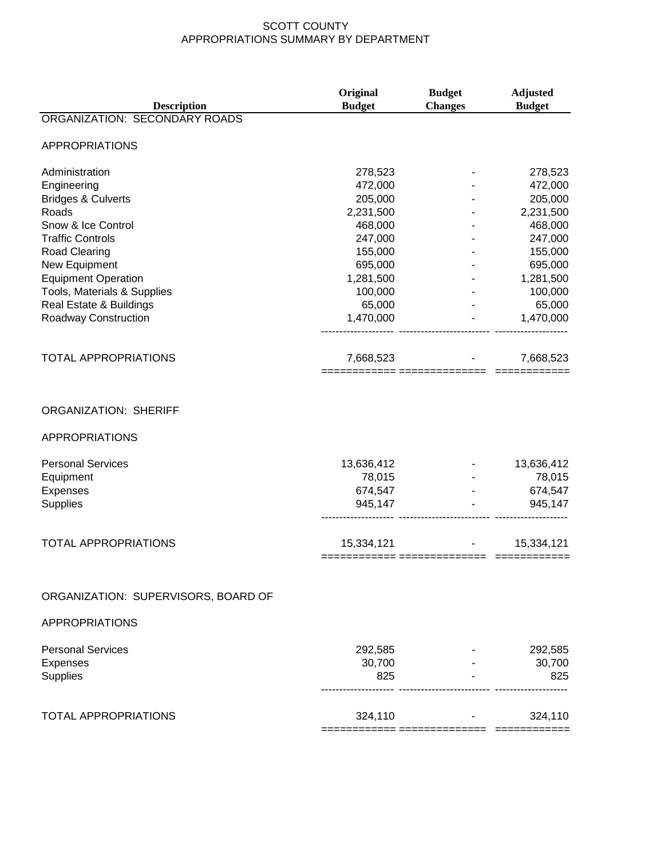| <b>Description</b>                  | Original<br><b>Budget</b>             | <b>Budget</b><br><b>Changes</b> | <b>Adjusted</b><br><b>Budget</b> |
|-------------------------------------|---------------------------------------|---------------------------------|----------------------------------|
| ORGANIZATION: SECONDARY ROADS       |                                       |                                 |                                  |
| <b>APPROPRIATIONS</b>               |                                       |                                 |                                  |
| Administration                      | 278,523                               |                                 | 278,523                          |
| Engineering                         | 472,000                               |                                 | 472,000                          |
| <b>Bridges &amp; Culverts</b>       | 205,000                               |                                 | 205,000                          |
| Roads                               | 2,231,500                             |                                 | 2,231,500                        |
| Snow & Ice Control                  | 468,000                               |                                 | 468,000                          |
| <b>Traffic Controls</b>             | 247,000                               |                                 | 247,000                          |
| <b>Road Clearing</b>                | 155,000                               |                                 | 155,000                          |
| New Equipment                       | 695,000                               |                                 | 695,000                          |
| <b>Equipment Operation</b>          | 1,281,500                             |                                 | 1,281,500                        |
| Tools, Materials & Supplies         | 100,000                               |                                 | 100,000                          |
| Real Estate & Buildings             | 65,000                                |                                 | 65,000                           |
| Roadway Construction                | 1,470,000                             |                                 | 1,470,000                        |
|                                     |                                       |                                 |                                  |
| <b>TOTAL APPROPRIATIONS</b>         | 7,668,523                             |                                 | 7,668,523                        |
| <b>ORGANIZATION: SHERIFF</b>        |                                       |                                 |                                  |
| <b>APPROPRIATIONS</b>               |                                       |                                 |                                  |
|                                     |                                       |                                 |                                  |
| <b>Personal Services</b>            | 13,636,412                            |                                 | 13,636,412                       |
| Equipment                           | 78,015                                |                                 | 78,015                           |
| Expenses                            | 674,547                               |                                 | 674,547                          |
| Supplies                            | 945,147                               |                                 | 945,147                          |
| <b>TOTAL APPROPRIATIONS</b>         | 15,334,121<br>============ ========== |                                 | 15,334,121                       |
|                                     |                                       |                                 |                                  |
| ORGANIZATION: SUPERVISORS, BOARD OF |                                       |                                 |                                  |
| <b>APPROPRIATIONS</b>               |                                       |                                 |                                  |
| <b>Personal Services</b>            | 292,585                               |                                 | 292,585                          |
| Expenses                            | 30,700                                |                                 | 30,700                           |
| <b>Supplies</b>                     | 825                                   |                                 | 825                              |
| <b>TOTAL APPROPRIATIONS</b>         | 324,110                               |                                 | 324,110                          |
|                                     |                                       |                                 |                                  |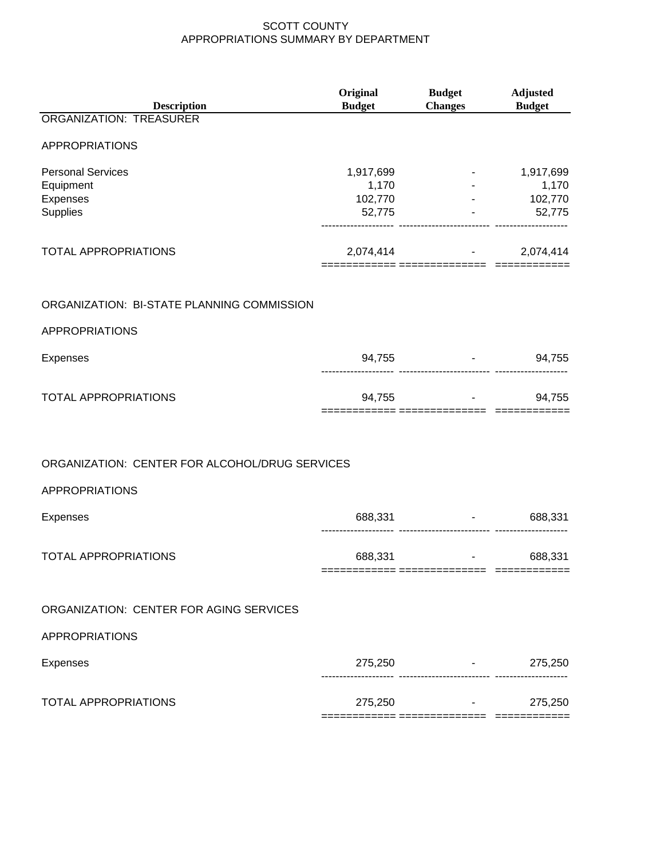| <b>Description</b>                             | Original<br><b>Budget</b> | <b>Budget</b><br><b>Changes</b>     | <b>Adjusted</b><br><b>Budget</b>                                                                           |
|------------------------------------------------|---------------------------|-------------------------------------|------------------------------------------------------------------------------------------------------------|
| <b>ORGANIZATION: TREASURER</b>                 |                           |                                     |                                                                                                            |
| APPROPRIATIONS                                 |                           |                                     |                                                                                                            |
| <b>Personal Services</b>                       | 1,917,699                 |                                     | 1,917,699                                                                                                  |
| Equipment<br>Expenses                          | 1,170<br>102,770          |                                     | 1,170<br>$-102,770$                                                                                        |
| Supplies                                       | 52,775                    |                                     | 52,775                                                                                                     |
| <b>TOTAL APPROPRIATIONS</b>                    |                           | 2,074,414                           | 2,074,414<br>$\frac{1}{2}$ , $\frac{1}{2}$ , $\frac{1}{2}$ , $\frac{1}{2}$ , $\frac{1}{2}$ , $\frac{1}{2}$ |
| ORGANIZATION: BI-STATE PLANNING COMMISSION     |                           |                                     |                                                                                                            |
| <b>APPROPRIATIONS</b>                          |                           |                                     |                                                                                                            |
| <b>Expenses</b>                                |                           | 94,755                              | 94,755<br><b>Figure 1999</b>                                                                               |
| <b>TOTAL APPROPRIATIONS</b>                    |                           | 94,755                              | 94,755                                                                                                     |
|                                                |                           |                                     |                                                                                                            |
| ORGANIZATION: CENTER FOR ALCOHOL/DRUG SERVICES |                           |                                     |                                                                                                            |
| APPROPRIATIONS                                 |                           |                                     |                                                                                                            |
| <b>Expenses</b>                                | 688,331                   | -------------------------- -------- | 688,331<br>$\bullet$ , and a set of $\mathcal{O}(\mathcal{O})$                                             |
| <b>TOTAL APPROPRIATIONS</b>                    | 688,331                   | $\sim$<br>------------ --           | 688,331                                                                                                    |
| ORGANIZATION: CENTER FOR AGING SERVICES        |                           |                                     |                                                                                                            |
| <b>APPROPRIATIONS</b>                          |                           |                                     |                                                                                                            |
| <b>Expenses</b>                                |                           | 275,250 - 275,250                   |                                                                                                            |
| <b>TOTAL APPROPRIATIONS</b>                    |                           | $275,250$ -                         | 275,250                                                                                                    |
|                                                |                           |                                     |                                                                                                            |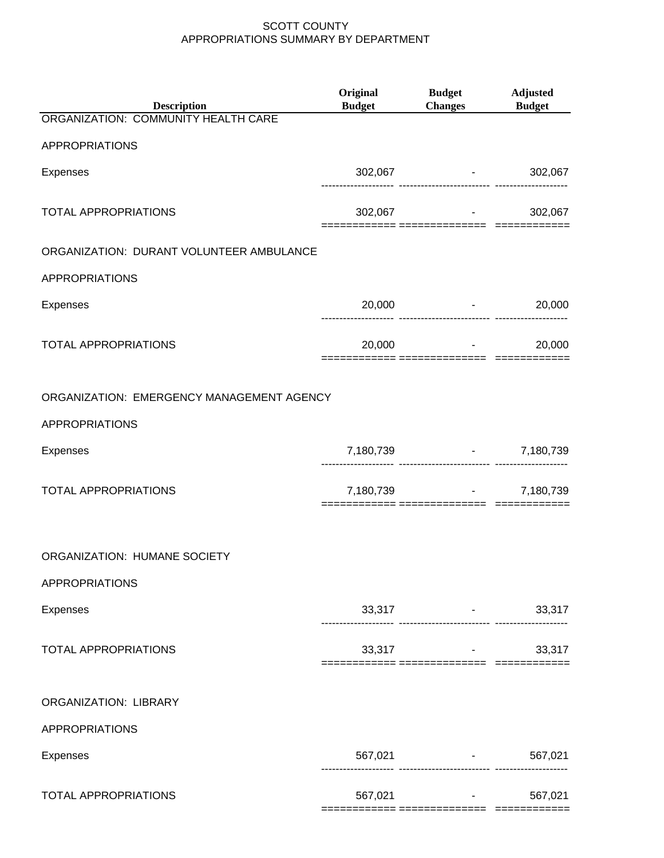| <b>Description</b>                        | Original<br><b>Budget</b> | <b>Budget</b><br>Changes Budget                | <b>Adjusted</b>                    |
|-------------------------------------------|---------------------------|------------------------------------------------|------------------------------------|
| ORGANIZATION: COMMUNITY HEALTH CARE       |                           |                                                |                                    |
| APPROPRIATIONS                            |                           |                                                |                                    |
| <b>Expenses</b>                           |                           | 302,067 - 302,067                              |                                    |
| <b>TOTAL APPROPRIATIONS</b>               |                           | 302,067 - 302,067                              |                                    |
| ORGANIZATION: DURANT VOLUNTEER AMBULANCE  |                           |                                                |                                    |
| <b>APPROPRIATIONS</b>                     |                           |                                                |                                    |
| Expenses                                  |                           | $20,000$ -                                     | 20,000                             |
| <b>TOTAL APPROPRIATIONS</b>               |                           | $20,000$ -                                     | 20,000                             |
| ORGANIZATION: EMERGENCY MANAGEMENT AGENCY |                           |                                                |                                    |
| <b>APPROPRIATIONS</b>                     |                           |                                                |                                    |
| <b>Expenses</b>                           |                           | 7,180,739 - 7,180,739                          |                                    |
| <b>TOTAL APPROPRIATIONS</b>               |                           | 7,180,739 - 7,180,739                          |                                    |
| ORGANIZATION: HUMANE SOCIETY              |                           |                                                |                                    |
| <b>APPROPRIATIONS</b>                     |                           |                                                |                                    |
| Expenses                                  |                           | 33,317<br>------------------------- ---------- | 33,317<br>$\sigma_{\rm{max}}=0.01$ |
| <b>TOTAL APPROPRIATIONS</b>               |                           | $33,317$ -                                     | 33,317                             |
| <b>ORGANIZATION: LIBRARY</b>              |                           |                                                |                                    |
| APPROPRIATIONS                            |                           |                                                |                                    |
| Expenses                                  |                           | 567,021 - 567,021                              |                                    |
| <b>TOTAL APPROPRIATIONS</b>               | 567,021                   | ======= =============== ========               | 567,021                            |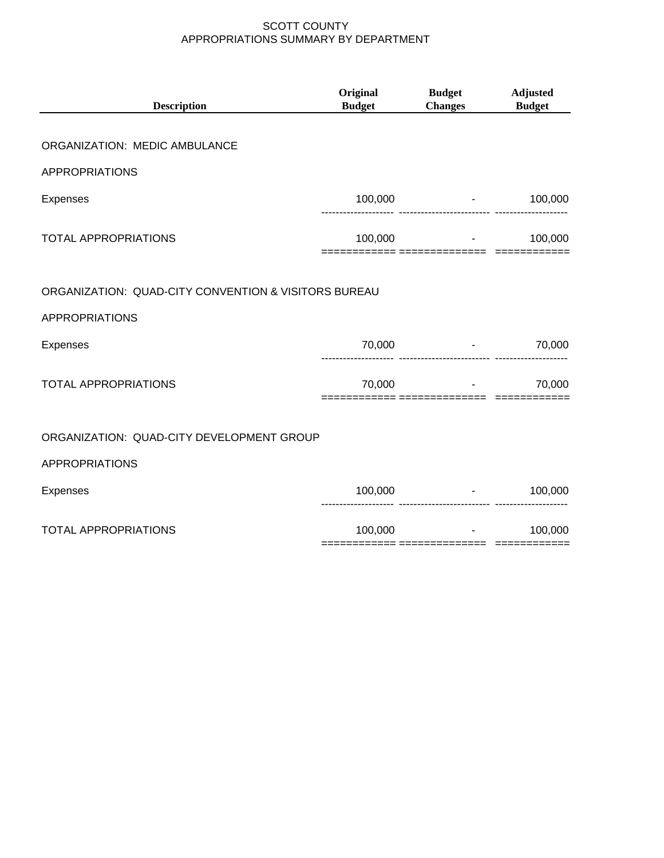| <b>Description</b>                                   | Original<br><b>Budget</b> | <b>Budget</b><br><b>Changes</b> | <b>Adjusted</b><br><b>Budget</b> |
|------------------------------------------------------|---------------------------|---------------------------------|----------------------------------|
| ORGANIZATION: MEDIC AMBULANCE                        |                           |                                 |                                  |
| <b>APPROPRIATIONS</b>                                |                           |                                 |                                  |
| <b>Expenses</b>                                      |                           | $100,000$ -                     | 100,000                          |
| <b>TOTAL APPROPRIATIONS</b>                          | 100,000                   |                                 | 100,000                          |
| ORGANIZATION: QUAD-CITY CONVENTION & VISITORS BUREAU |                           |                                 |                                  |
| <b>APPROPRIATIONS</b>                                |                           |                                 |                                  |
| <b>Expenses</b>                                      | 70,000                    |                                 | 70,000                           |
| <b>TOTAL APPROPRIATIONS</b>                          | 70,000                    | and the contract of the con-    | 70,000                           |
| ORGANIZATION: QUAD-CITY DEVELOPMENT GROUP            |                           |                                 |                                  |
| <b>APPROPRIATIONS</b>                                |                           |                                 |                                  |
| <b>Expenses</b>                                      | 100,000                   |                                 | $-100,000$                       |
| <b>TOTAL APPROPRIATIONS</b>                          | 100,000                   | All Controllers                 | 100,000                          |
|                                                      |                           |                                 |                                  |